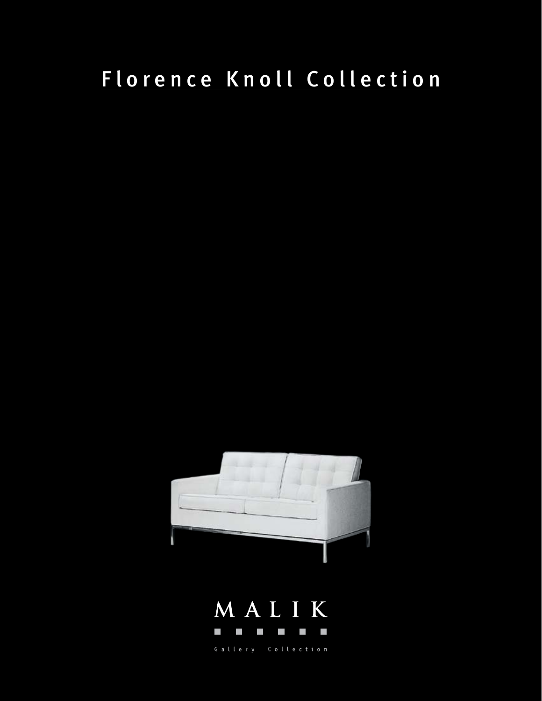# Florence Knoll Collection



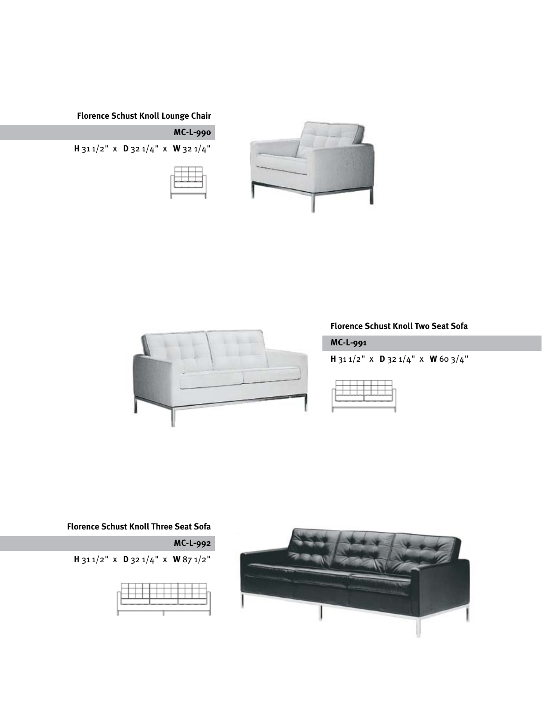# **Florence Schust Knoll Lounge Chair**







# **Florence Schust Knoll Two Seat Sofa**

**MC-L-991** 

**H** 31 1/2" x **D** 32 1/4" x **W** 60 3/4"



## **Florence Schust Knoll Three Seat Sofa**





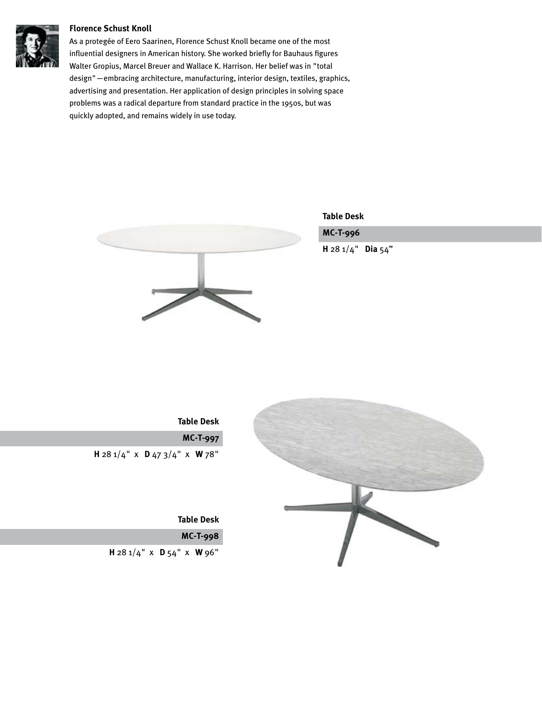#### **Florence Schust Knoll**



As a protegée of Eero Saarinen, Florence Schust Knoll became one of the most influential designers in American history. She worked briefly for Bauhaus figures Walter Gropius, Marcel Breuer and Wallace K. Harrison. Her belief was in "total design"—embracing architecture, manufacturing, interior design, textiles, graphics, advertising and presentation. Her application of design principles in solving space problems was a radical departure from standard practice in the 1950s, but was quickly adopted, and remains widely in use today.



**Table Desk**

# **MC-T-996**

**H** 28 1/4" **Dia** 54"



**Table Desk**

**MC-T-997**

**H** 28 1/4" x **D** 47 3/4" x **W** 78"

**Table Desk**

**MC-T-998**

**H** 28 1/4" x **D** 54" x **W** 96"